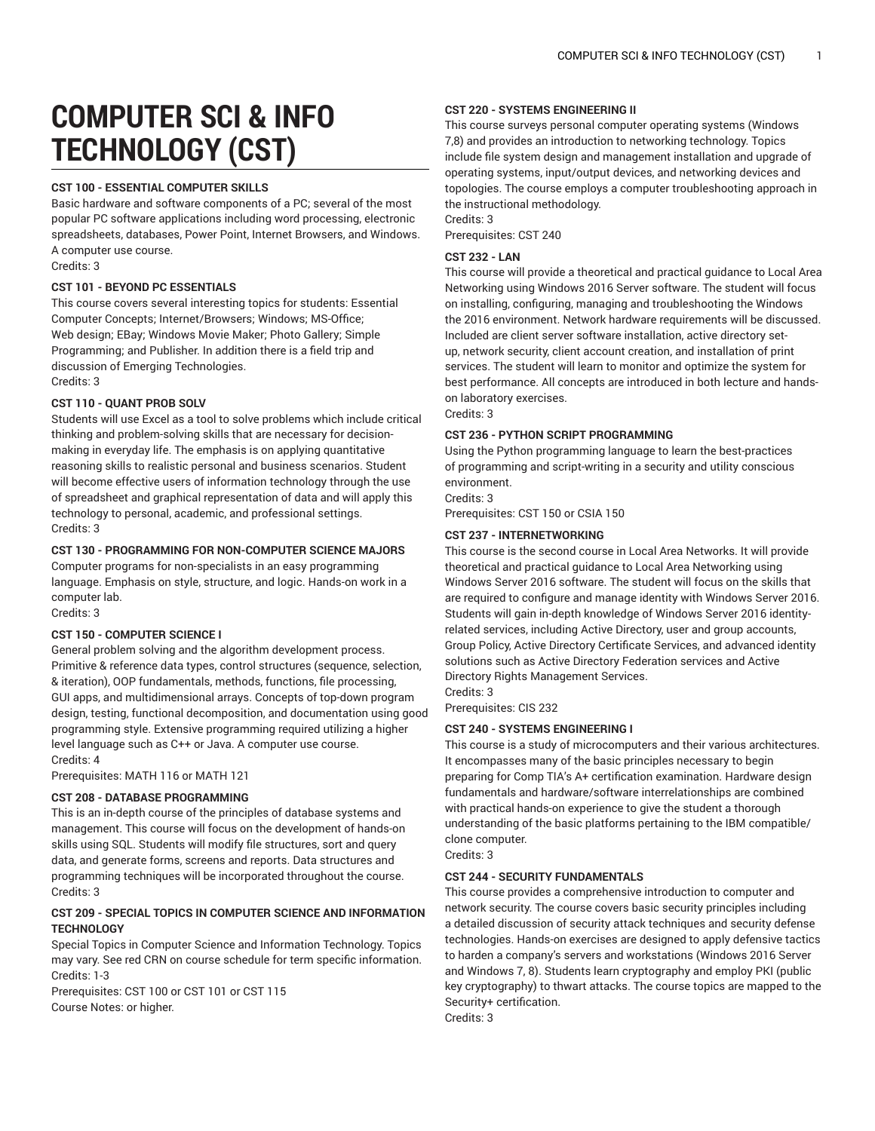# **COMPUTER SCI & INFO TECHNOLOGY (CST)**

## **CST 100 - ESSENTIAL COMPUTER SKILLS**

Basic hardware and software components of a PC; several of the most popular PC software applications including word processing, electronic spreadsheets, databases, Power Point, Internet Browsers, and Windows. A computer use course.

Credits: 3

## **CST 101 - BEYOND PC ESSENTIALS**

This course covers several interesting topics for students: Essential Computer Concepts; Internet/Browsers; Windows; MS-Office; Web design; EBay; Windows Movie Maker; Photo Gallery; Simple Programming; and Publisher. In addition there is a field trip and discussion of Emerging Technologies. Credits: 3

#### **CST 110 - QUANT PROB SOLV**

Students will use Excel as a tool to solve problems which include critical thinking and problem-solving skills that are necessary for decisionmaking in everyday life. The emphasis is on applying quantitative reasoning skills to realistic personal and business scenarios. Student will become effective users of information technology through the use of spreadsheet and graphical representation of data and will apply this technology to personal, academic, and professional settings. Credits: 3

#### **CST 130 - PROGRAMMING FOR NON-COMPUTER SCIENCE MAJORS**

Computer programs for non-specialists in an easy programming language. Emphasis on style, structure, and logic. Hands-on work in a computer lab.

Credits: 3

## **CST 150 - COMPUTER SCIENCE I**

General problem solving and the algorithm development process. Primitive & reference data types, control structures (sequence, selection, & iteration), OOP fundamentals, methods, functions, file processing, GUI apps, and multidimensional arrays. Concepts of top-down program design, testing, functional decomposition, and documentation using good programming style. Extensive programming required utilizing a higher level language such as C++ or Java. A computer use course. Credits: 4

Prerequisites: MATH 116 or MATH 121

#### **CST 208 - DATABASE PROGRAMMING**

This is an in-depth course of the principles of database systems and management. This course will focus on the development of hands-on skills using SQL. Students will modify file structures, sort and query data, and generate forms, screens and reports. Data structures and programming techniques will be incorporated throughout the course. Credits: 3

## **CST 209 - SPECIAL TOPICS IN COMPUTER SCIENCE AND INFORMATION TECHNOLOGY**

Special Topics in Computer Science and Information Technology. Topics may vary. See red CRN on course schedule for term specific information. Credits: 1-3

Prerequisites: CST 100 or CST 101 or CST 115 Course Notes: or higher.

#### **CST 220 - SYSTEMS ENGINEERING II**

This course surveys personal computer operating systems (Windows 7,8) and provides an introduction to networking technology. Topics include file system design and management installation and upgrade of operating systems, input/output devices, and networking devices and topologies. The course employs a computer troubleshooting approach in the instructional methodology.

Credits: 3

Prerequisites: CST 240

## **CST 232 - LAN**

This course will provide a theoretical and practical guidance to Local Area Networking using Windows 2016 Server software. The student will focus on installing, configuring, managing and troubleshooting the Windows the 2016 environment. Network hardware requirements will be discussed. Included are client server software installation, active directory setup, network security, client account creation, and installation of print services. The student will learn to monitor and optimize the system for best performance. All concepts are introduced in both lecture and handson laboratory exercises. Credits: 3

#### **CST 236 - PYTHON SCRIPT PROGRAMMING**

Using the Python programming language to learn the best-practices of programming and script-writing in a security and utility conscious environment.

Credits: 3

Prerequisites: CST 150 or CSIA 150

## **CST 237 - INTERNETWORKING**

This course is the second course in Local Area Networks. It will provide theoretical and practical guidance to Local Area Networking using Windows Server 2016 software. The student will focus on the skills that are required to configure and manage identity with Windows Server 2016. Students will gain in-depth knowledge of Windows Server 2016 identityrelated services, including Active Directory, user and group accounts, Group Policy, Active Directory Certificate Services, and advanced identity solutions such as Active Directory Federation services and Active Directory Rights Management Services.

Credits: 3

Prerequisites: CIS 232

#### **CST 240 - SYSTEMS ENGINEERING I**

This course is a study of microcomputers and their various architectures. It encompasses many of the basic principles necessary to begin preparing for Comp TIA's A+ certification examination. Hardware design fundamentals and hardware/software interrelationships are combined with practical hands-on experience to give the student a thorough understanding of the basic platforms pertaining to the IBM compatible/ clone computer.

Credits: 3

## **CST 244 - SECURITY FUNDAMENTALS**

This course provides a comprehensive introduction to computer and network security. The course covers basic security principles including a detailed discussion of security attack techniques and security defense technologies. Hands-on exercises are designed to apply defensive tactics to harden a company's servers and workstations (Windows 2016 Server and Windows 7, 8). Students learn cryptography and employ PKI (public key cryptography) to thwart attacks. The course topics are mapped to the Security+ certification.

Credits: 3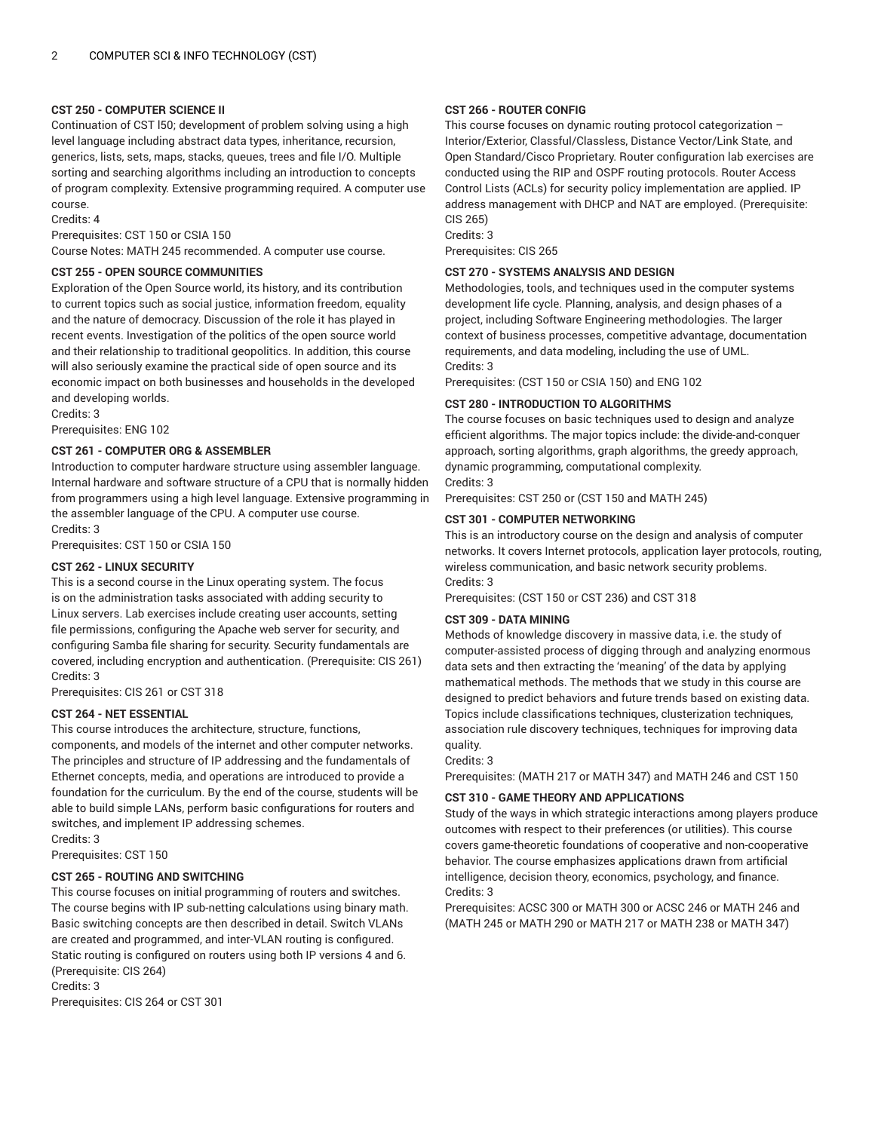## **CST 250 - COMPUTER SCIENCE II**

Continuation of CST l50; development of problem solving using a high level language including abstract data types, inheritance, recursion, generics, lists, sets, maps, stacks, queues, trees and file I/O. Multiple sorting and searching algorithms including an introduction to concepts of program complexity. Extensive programming required. A computer use course.

Credits: 4

Prerequisites: CST 150 or CSIA 150

Course Notes: MATH 245 recommended. A computer use course.

## **CST 255 - OPEN SOURCE COMMUNITIES**

Exploration of the Open Source world, its history, and its contribution to current topics such as social justice, information freedom, equality and the nature of democracy. Discussion of the role it has played in recent events. Investigation of the politics of the open source world and their relationship to traditional geopolitics. In addition, this course will also seriously examine the practical side of open source and its economic impact on both businesses and households in the developed and developing worlds.

Credits: 3

Prerequisites: ENG 102

## **CST 261 - COMPUTER ORG & ASSEMBLER**

Introduction to computer hardware structure using assembler language. Internal hardware and software structure of a CPU that is normally hidden from programmers using a high level language. Extensive programming in the assembler language of the CPU. A computer use course. Credits: 3

Prerequisites: CST 150 or CSIA 150

## **CST 262 - LINUX SECURITY**

This is a second course in the Linux operating system. The focus is on the administration tasks associated with adding security to Linux servers. Lab exercises include creating user accounts, setting file permissions, configuring the Apache web server for security, and configuring Samba file sharing for security. Security fundamentals are covered, including encryption and authentication. (Prerequisite: CIS 261) Credits: 3

Prerequisites: CIS 261 or CST 318

## **CST 264 - NET ESSENTIAL**

This course introduces the architecture, structure, functions, components, and models of the internet and other computer networks. The principles and structure of IP addressing and the fundamentals of Ethernet concepts, media, and operations are introduced to provide a foundation for the curriculum. By the end of the course, students will be able to build simple LANs, perform basic configurations for routers and switches, and implement IP addressing schemes.

Credits: 3

Prerequisites: CST 150

## **CST 265 - ROUTING AND SWITCHING**

This course focuses on initial programming of routers and switches. The course begins with IP sub-netting calculations using binary math. Basic switching concepts are then described in detail. Switch VLANs are created and programmed, and inter-VLAN routing is configured. Static routing is configured on routers using both IP versions 4 and 6. (Prerequisite: CIS 264) Credits: 3

Prerequisites: CIS 264 or CST 301

## **CST 266 - ROUTER CONFIG**

This course focuses on dynamic routing protocol categorization – Interior/Exterior, Classful/Classless, Distance Vector/Link State, and Open Standard/Cisco Proprietary. Router configuration lab exercises are conducted using the RIP and OSPF routing protocols. Router Access Control Lists (ACLs) for security policy implementation are applied. IP address management with DHCP and NAT are employed. (Prerequisite: CIS 265)

Credits: 3

Prerequisites: CIS 265

## **CST 270 - SYSTEMS ANALYSIS AND DESIGN**

Methodologies, tools, and techniques used in the computer systems development life cycle. Planning, analysis, and design phases of a project, including Software Engineering methodologies. The larger context of business processes, competitive advantage, documentation requirements, and data modeling, including the use of UML. Credits: 3

Prerequisites: (CST 150 or CSIA 150) and ENG 102

## **CST 280 - INTRODUCTION TO ALGORITHMS**

The course focuses on basic techniques used to design and analyze efficient algorithms. The major topics include: the divide-and-conquer approach, sorting algorithms, graph algorithms, the greedy approach, dynamic programming, computational complexity. Credits: 3

Prerequisites: CST 250 or (CST 150 and MATH 245)

## **CST 301 - COMPUTER NETWORKING**

This is an introductory course on the design and analysis of computer networks. It covers Internet protocols, application layer protocols, routing, wireless communication, and basic network security problems. Credits: 3

Prerequisites: (CST 150 or CST 236) and CST 318

## **CST 309 - DATA MINING**

Methods of knowledge discovery in massive data, i.e. the study of computer-assisted process of digging through and analyzing enormous data sets and then extracting the 'meaning' of the data by applying mathematical methods. The methods that we study in this course are designed to predict behaviors and future trends based on existing data. Topics include classifications techniques, clusterization techniques, association rule discovery techniques, techniques for improving data quality.

#### Credits: 3

Prerequisites: (MATH 217 or MATH 347) and MATH 246 and CST 150

## **CST 310 - GAME THEORY AND APPLICATIONS**

Study of the ways in which strategic interactions among players produce outcomes with respect to their preferences (or utilities). This course covers game-theoretic foundations of cooperative and non-cooperative behavior. The course emphasizes applications drawn from artificial intelligence, decision theory, economics, psychology, and finance. Credits: 3

Prerequisites: ACSC 300 or MATH 300 or ACSC 246 or MATH 246 and (MATH 245 or MATH 290 or MATH 217 or MATH 238 or MATH 347)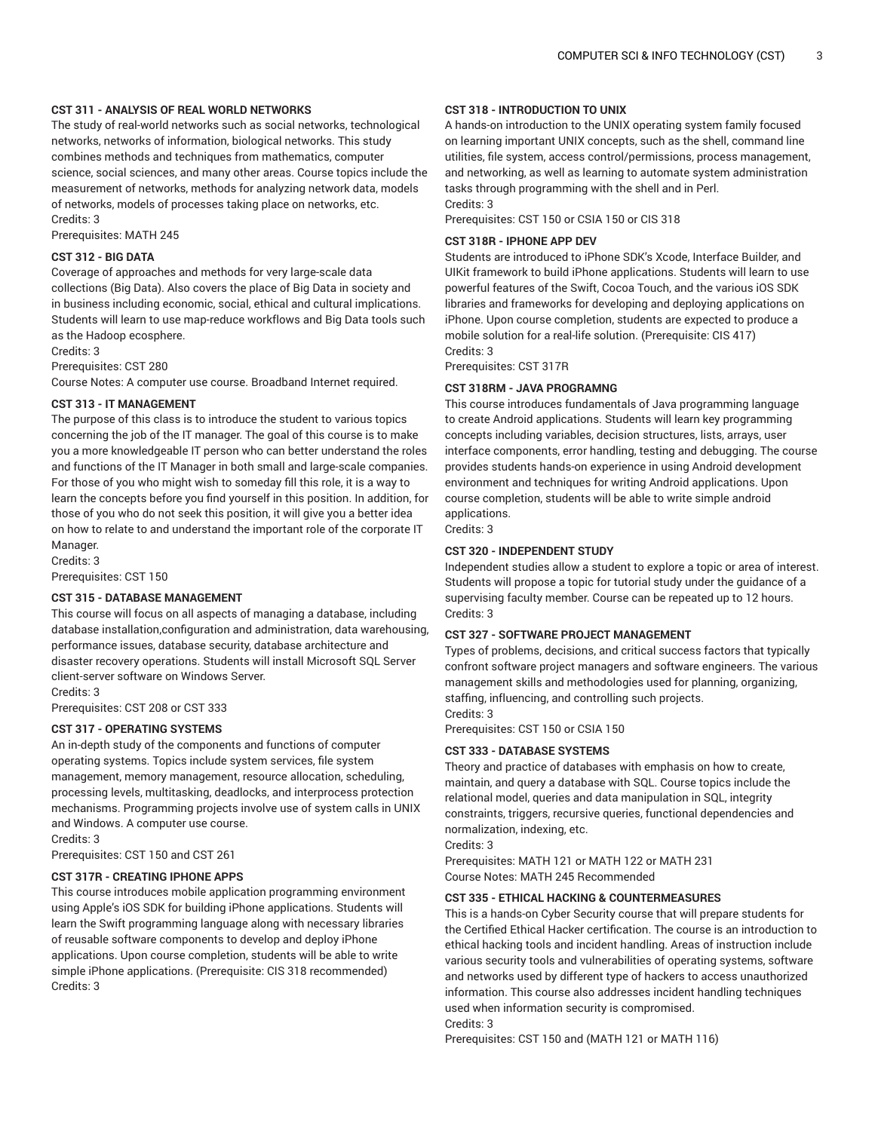#### **CST 311 - ANALYSIS OF REAL WORLD NETWORKS**

The study of real-world networks such as social networks, technological networks, networks of information, biological networks. This study combines methods and techniques from mathematics, computer science, social sciences, and many other areas. Course topics include the measurement of networks, methods for analyzing network data, models of networks, models of processes taking place on networks, etc. Credits: 3

Prerequisites: MATH 245

## **CST 312 - BIG DATA**

Coverage of approaches and methods for very large-scale data collections (Big Data). Also covers the place of Big Data in society and in business including economic, social, ethical and cultural implications. Students will learn to use map-reduce workflows and Big Data tools such as the Hadoop ecosphere.

Credits: 3

Prerequisites: CST 280

Course Notes: A computer use course. Broadband Internet required.

#### **CST 313 - IT MANAGEMENT**

The purpose of this class is to introduce the student to various topics concerning the job of the IT manager. The goal of this course is to make you a more knowledgeable IT person who can better understand the roles and functions of the IT Manager in both small and large-scale companies. For those of you who might wish to someday fill this role, it is a way to learn the concepts before you find yourself in this position. In addition, for those of you who do not seek this position, it will give you a better idea on how to relate to and understand the important role of the corporate IT Manager.

Credits: 3

Prerequisites: CST 150

#### **CST 315 - DATABASE MANAGEMENT**

This course will focus on all aspects of managing a database, including database installation,configuration and administration, data warehousing, performance issues, database security, database architecture and disaster recovery operations. Students will install Microsoft SQL Server client-server software on Windows Server.

Credits: 3

Prerequisites: CST 208 or CST 333

#### **CST 317 - OPERATING SYSTEMS**

An in-depth study of the components and functions of computer operating systems. Topics include system services, file system management, memory management, resource allocation, scheduling, processing levels, multitasking, deadlocks, and interprocess protection mechanisms. Programming projects involve use of system calls in UNIX and Windows. A computer use course.

Credits: 3

Prerequisites: CST 150 and CST 261

## **CST 317R - CREATING IPHONE APPS**

This course introduces mobile application programming environment using Apple's iOS SDK for building iPhone applications. Students will learn the Swift programming language along with necessary libraries of reusable software components to develop and deploy iPhone applications. Upon course completion, students will be able to write simple iPhone applications. (Prerequisite: CIS 318 recommended) Credits: 3

#### **CST 318 - INTRODUCTION TO UNIX**

A hands-on introduction to the UNIX operating system family focused on learning important UNIX concepts, such as the shell, command line utilities, file system, access control/permissions, process management, and networking, as well as learning to automate system administration tasks through programming with the shell and in Perl. Credits: 3

Prerequisites: CST 150 or CSIA 150 or CIS 318

#### **CST 318R - IPHONE APP DEV**

Students are introduced to iPhone SDK's Xcode, Interface Builder, and UIKit framework to build iPhone applications. Students will learn to use powerful features of the Swift, Cocoa Touch, and the various iOS SDK libraries and frameworks for developing and deploying applications on iPhone. Upon course completion, students are expected to produce a mobile solution for a real-life solution. (Prerequisite: CIS 417) Credits: 3

Prerequisites: CST 317R

#### **CST 318RM - JAVA PROGRAMNG**

This course introduces fundamentals of Java programming language to create Android applications. Students will learn key programming concepts including variables, decision structures, lists, arrays, user interface components, error handling, testing and debugging. The course provides students hands-on experience in using Android development environment and techniques for writing Android applications. Upon course completion, students will be able to write simple android applications.

Credits: 3

## **CST 320 - INDEPENDENT STUDY**

Independent studies allow a student to explore a topic or area of interest. Students will propose a topic for tutorial study under the guidance of a supervising faculty member. Course can be repeated up to 12 hours. Credits: 3

#### **CST 327 - SOFTWARE PROJECT MANAGEMENT**

Types of problems, decisions, and critical success factors that typically confront software project managers and software engineers. The various management skills and methodologies used for planning, organizing, staffing, influencing, and controlling such projects. Credits: 3

Prerequisites: CST 150 or CSIA 150

#### **CST 333 - DATABASE SYSTEMS**

Theory and practice of databases with emphasis on how to create, maintain, and query a database with SQL. Course topics include the relational model, queries and data manipulation in SQL, integrity constraints, triggers, recursive queries, functional dependencies and normalization, indexing, etc.

Credits: 3

Prerequisites: MATH 121 or MATH 122 or MATH 231 Course Notes: MATH 245 Recommended

## **CST 335 - ETHICAL HACKING & COUNTERMEASURES**

This is a hands-on Cyber Security course that will prepare students for the Certified Ethical Hacker certification. The course is an introduction to ethical hacking tools and incident handling. Areas of instruction include various security tools and vulnerabilities of operating systems, software and networks used by different type of hackers to access unauthorized information. This course also addresses incident handling techniques used when information security is compromised.

Credits: 3

Prerequisites: CST 150 and (MATH 121 or MATH 116)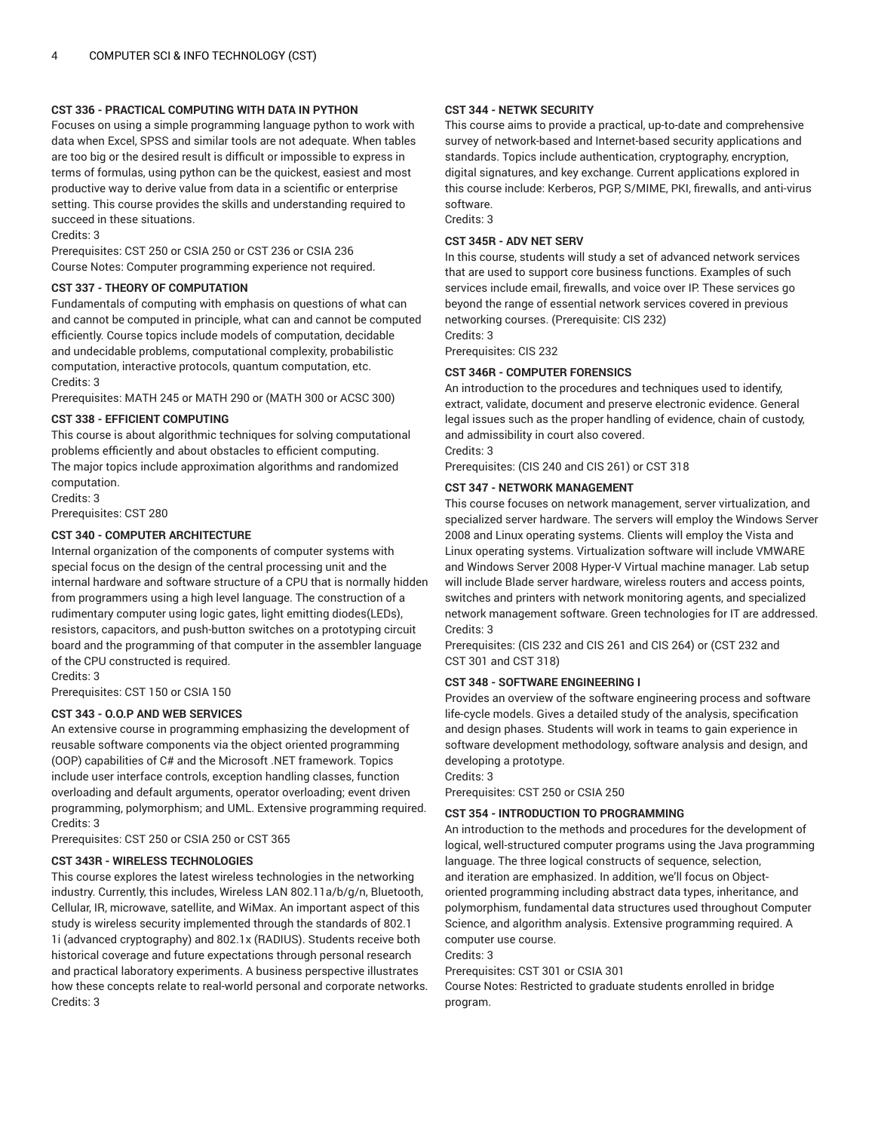## **CST 336 - PRACTICAL COMPUTING WITH DATA IN PYTHON**

Focuses on using a simple programming language python to work with data when Excel, SPSS and similar tools are not adequate. When tables are too big or the desired result is difficult or impossible to express in terms of formulas, using python can be the quickest, easiest and most productive way to derive value from data in a scientific or enterprise setting. This course provides the skills and understanding required to succeed in these situations.

#### Credits: 3

Prerequisites: CST 250 or CSIA 250 or CST 236 or CSIA 236 Course Notes: Computer programming experience not required.

## **CST 337 - THEORY OF COMPUTATION**

Fundamentals of computing with emphasis on questions of what can and cannot be computed in principle, what can and cannot be computed efficiently. Course topics include models of computation, decidable and undecidable problems, computational complexity, probabilistic computation, interactive protocols, quantum computation, etc. Credits: 3

Prerequisites: MATH 245 or MATH 290 or (MATH 300 or ACSC 300)

#### **CST 338 - EFFICIENT COMPUTING**

This course is about algorithmic techniques for solving computational problems efficiently and about obstacles to efficient computing. The major topics include approximation algorithms and randomized computation.

Credits: 3

Prerequisites: CST 280

## **CST 340 - COMPUTER ARCHITECTURE**

Internal organization of the components of computer systems with special focus on the design of the central processing unit and the internal hardware and software structure of a CPU that is normally hidden from programmers using a high level language. The construction of a rudimentary computer using logic gates, light emitting diodes(LEDs), resistors, capacitors, and push-button switches on a prototyping circuit board and the programming of that computer in the assembler language of the CPU constructed is required.

Credits: 3

Prerequisites: CST 150 or CSIA 150

## **CST 343 - O.O.P AND WEB SERVICES**

An extensive course in programming emphasizing the development of reusable software components via the object oriented programming (OOP) capabilities of C# and the Microsoft .NET framework. Topics include user interface controls, exception handling classes, function overloading and default arguments, operator overloading; event driven programming, polymorphism; and UML. Extensive programming required. Credits: 3

Prerequisites: CST 250 or CSIA 250 or CST 365

## **CST 343R - WIRELESS TECHNOLOGIES**

This course explores the latest wireless technologies in the networking industry. Currently, this includes, Wireless LAN 802.11a/b/g/n, Bluetooth, Cellular, IR, microwave, satellite, and WiMax. An important aspect of this study is wireless security implemented through the standards of 802.1 1i (advanced cryptography) and 802.1x (RADIUS). Students receive both historical coverage and future expectations through personal research and practical laboratory experiments. A business perspective illustrates how these concepts relate to real-world personal and corporate networks. Credits: 3

#### **CST 344 - NETWK SECURITY**

This course aims to provide a practical, up-to-date and comprehensive survey of network-based and Internet-based security applications and standards. Topics include authentication, cryptography, encryption, digital signatures, and key exchange. Current applications explored in this course include: Kerberos, PGP, S/MIME, PKI, firewalls, and anti-virus software.

Credits: 3

#### **CST 345R - ADV NET SERV**

In this course, students will study a set of advanced network services that are used to support core business functions. Examples of such services include email, firewalls, and voice over IP. These services go beyond the range of essential network services covered in previous networking courses. (Prerequisite: CIS 232)

Credits: 3 Prerequisites: CIS 232

## **CST 346R - COMPUTER FORENSICS**

An introduction to the procedures and techniques used to identify, extract, validate, document and preserve electronic evidence. General legal issues such as the proper handling of evidence, chain of custody, and admissibility in court also covered. Credits: 3

Prerequisites: (CIS 240 and CIS 261) or CST 318

#### **CST 347 - NETWORK MANAGEMENT**

This course focuses on network management, server virtualization, and specialized server hardware. The servers will employ the Windows Server 2008 and Linux operating systems. Clients will employ the Vista and Linux operating systems. Virtualization software will include VMWARE and Windows Server 2008 Hyper-V Virtual machine manager. Lab setup will include Blade server hardware, wireless routers and access points, switches and printers with network monitoring agents, and specialized network management software. Green technologies for IT are addressed. Credits: 3

Prerequisites: (CIS 232 and CIS 261 and CIS 264) or (CST 232 and CST 301 and CST 318)

## **CST 348 - SOFTWARE ENGINEERING I**

Provides an overview of the software engineering process and software life-cycle models. Gives a detailed study of the analysis, specification and design phases. Students will work in teams to gain experience in software development methodology, software analysis and design, and developing a prototype.

Credits: 3 Prerequisites: CST 250 or CSIA 250

## **CST 354 - INTRODUCTION TO PROGRAMMING**

An introduction to the methods and procedures for the development of logical, well-structured computer programs using the Java programming language. The three logical constructs of sequence, selection, and iteration are emphasized. In addition, we'll focus on Objectoriented programming including abstract data types, inheritance, and polymorphism, fundamental data structures used throughout Computer Science, and algorithm analysis. Extensive programming required. A computer use course.

Credits: 3

Prerequisites: CST 301 or CSIA 301

Course Notes: Restricted to graduate students enrolled in bridge program.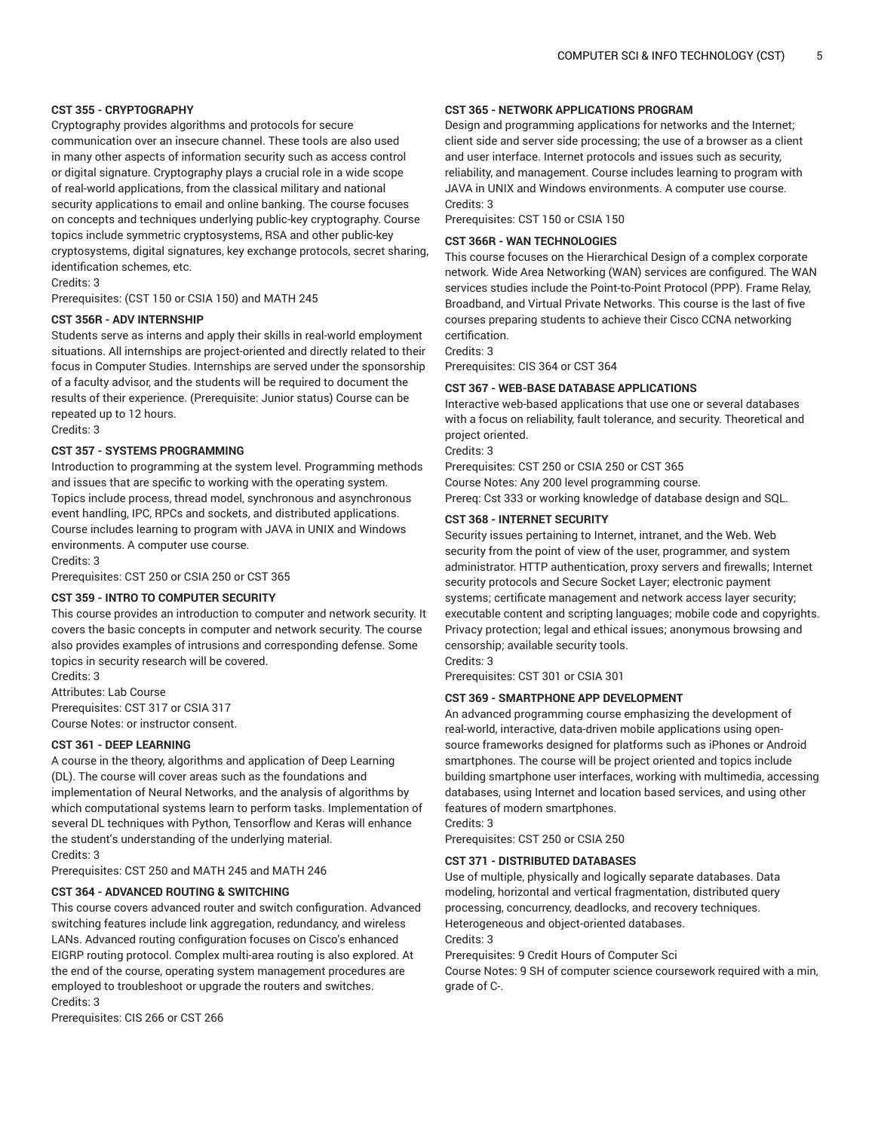## **CST 355 - CRYPTOGRAPHY**

Cryptography provides algorithms and protocols for secure communication over an insecure channel. These tools are also used in many other aspects of information security such as access control or digital signature. Cryptography plays a crucial role in a wide scope of real-world applications, from the classical military and national security applications to email and online banking. The course focuses on concepts and techniques underlying public-key cryptography. Course topics include symmetric cryptosystems, RSA and other public-key cryptosystems, digital signatures, key exchange protocols, secret sharing, identification schemes, etc.

Credits: 3

Prerequisites: (CST 150 or CSIA 150) and MATH 245

#### **CST 356R - ADV INTERNSHIP**

Students serve as interns and apply their skills in real-world employment situations. All internships are project-oriented and directly related to their focus in Computer Studies. Internships are served under the sponsorship of a faculty advisor, and the students will be required to document the results of their experience. (Prerequisite: Junior status) Course can be repeated up to 12 hours.

Credits: 3

#### **CST 357 - SYSTEMS PROGRAMMING**

Introduction to programming at the system level. Programming methods and issues that are specific to working with the operating system. Topics include process, thread model, synchronous and asynchronous event handling, IPC, RPCs and sockets, and distributed applications. Course includes learning to program with JAVA in UNIX and Windows environments. A computer use course.

Credits: 3

Prerequisites: CST 250 or CSIA 250 or CST 365

## **CST 359 - INTRO TO COMPUTER SECURITY**

This course provides an introduction to computer and network security. It covers the basic concepts in computer and network security. The course also provides examples of intrusions and corresponding defense. Some topics in security research will be covered.

Credits: 3 Attributes: Lab Course Prerequisites: CST 317 or CSIA 317 Course Notes: or instructor consent.

#### **CST 361 - DEEP LEARNING**

A course in the theory, algorithms and application of Deep Learning (DL). The course will cover areas such as the foundations and implementation of Neural Networks, and the analysis of algorithms by which computational systems learn to perform tasks. Implementation of several DL techniques with Python, Tensorflow and Keras will enhance the student's understanding of the underlying material. Credits: 3

Prerequisites: CST 250 and MATH 245 and MATH 246

#### **CST 364 - ADVANCED ROUTING & SWITCHING**

This course covers advanced router and switch configuration. Advanced switching features include link aggregation, redundancy, and wireless LANs. Advanced routing configuration focuses on Cisco's enhanced EIGRP routing protocol. Complex multi-area routing is also explored. At the end of the course, operating system management procedures are employed to troubleshoot or upgrade the routers and switches. Credits: 3

Prerequisites: CIS 266 or CST 266

#### **CST 365 - NETWORK APPLICATIONS PROGRAM**

Design and programming applications for networks and the Internet; client side and server side processing; the use of a browser as a client and user interface. Internet protocols and issues such as security, reliability, and management. Course includes learning to program with JAVA in UNIX and Windows environments. A computer use course. Credits: 3

Prerequisites: CST 150 or CSIA 150

#### **CST 366R - WAN TECHNOLOGIES**

This course focuses on the Hierarchical Design of a complex corporate network. Wide Area Networking (WAN) services are configured. The WAN services studies include the Point-to-Point Protocol (PPP). Frame Relay, Broadband, and Virtual Private Networks. This course is the last of five courses preparing students to achieve their Cisco CCNA networking certification.

Credits: 3

Prerequisites: CIS 364 or CST 364

#### **CST 367 - WEB-BASE DATABASE APPLICATIONS**

Interactive web-based applications that use one or several databases with a focus on reliability, fault tolerance, and security. Theoretical and project oriented.

Credits: 3

Prerequisites: CST 250 or CSIA 250 or CST 365 Course Notes: Any 200 level programming course. Prereq: Cst 333 or working knowledge of database design and SQL.

#### **CST 368 - INTERNET SECURITY**

Security issues pertaining to Internet, intranet, and the Web. Web security from the point of view of the user, programmer, and system administrator. HTTP authentication, proxy servers and firewalls; Internet security protocols and Secure Socket Layer; electronic payment systems; certificate management and network access layer security; executable content and scripting languages; mobile code and copyrights. Privacy protection; legal and ethical issues; anonymous browsing and censorship; available security tools. Credits: 3

Prerequisites: CST 301 or CSIA 301

#### **CST 369 - SMARTPHONE APP DEVELOPMENT**

An advanced programming course emphasizing the development of real-world, interactive, data-driven mobile applications using opensource frameworks designed for platforms such as iPhones or Android smartphones. The course will be project oriented and topics include building smartphone user interfaces, working with multimedia, accessing databases, using Internet and location based services, and using other features of modern smartphones. Credits: 3

Prerequisites: CST 250 or CSIA 250

#### **CST 371 - DISTRIBUTED DATABASES**

Use of multiple, physically and logically separate databases. Data modeling, horizontal and vertical fragmentation, distributed query processing, concurrency, deadlocks, and recovery techniques. Heterogeneous and object-oriented databases. Credits: 3

Prerequisites: 9 Credit Hours of Computer Sci

Course Notes: 9 SH of computer science coursework required with a min, grade of C-.